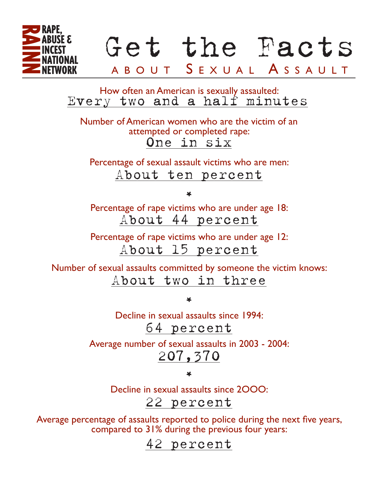

Every two and a half minutes How often an American is sexually assaulted:

One in six Number of American women who are the victim of an attempted or completed rape:

About ten percent Percentage of sexual assault victims who are men:

\*

About 44 percent Percentage of rape victims who are under age 18:

Percentage of rape victims who are under age 12: About 15 percent

About two in three Number of sexual assaults committed by someone the victim knows:

\*

64 percent Decline in sexual assaults since 1994:

207,370 Average number of sexual assaults in 2003 - 2004:

\*

22 percent Decline in sexual assaults since 2OOO:

Average percentage of assaults reported to police during the next five years, compared to 31% during the previous four years:

42 percent